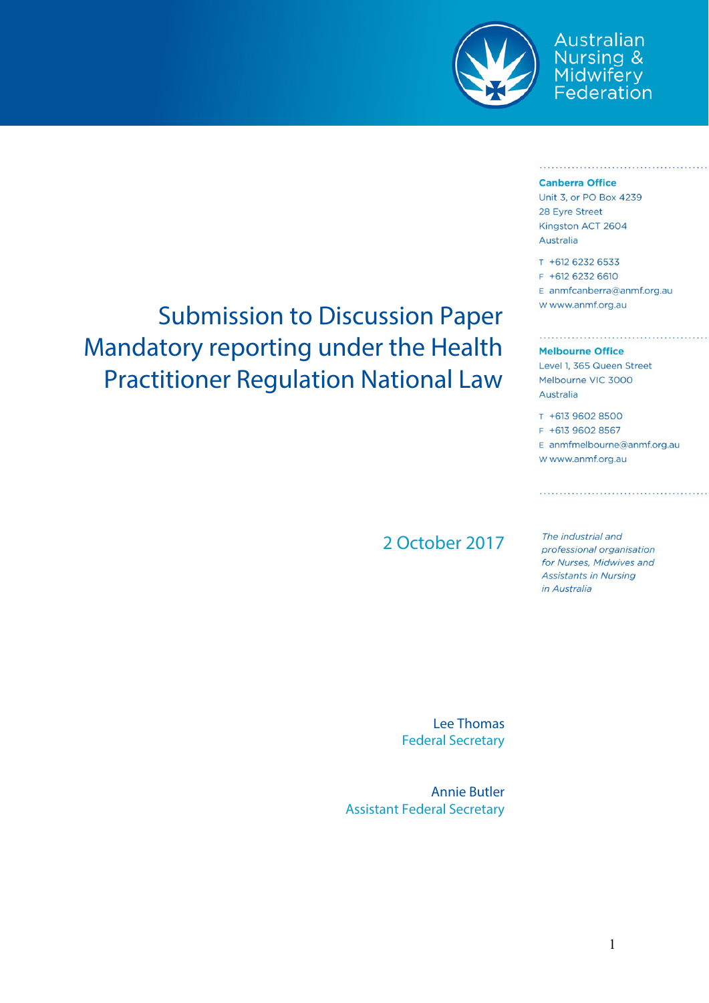

# Australian Nursing &<br>Midwifery<br>Federation

<u> 1974 - Ferdinand Mandels et And</u>

#### **Canberra Office**

Unit 3, or PO Box 4239 28 Evre Street Kingston ACT 2604 Australia

T +612 6232 6533 F +612 6232 6610 E anmfcanberra@anmf.org.au W www.anmf.org.au

#### **Melbourne Office**

. . . . . . . . . . . . . . . . . . . .

Level 1, 365 Queen Street Melbourne VIC 3000 Australia

T +613 9602 8500 F +613 9602 8567 E anmfmelbourne@anmf.org.au W www.anmf.org.au

2 October 2017

The industrial and professional organisation for Nurses, Midwives and **Assistants in Nursing** in Australia

Lee Thomas Federal Secretary

Annie Butler Assistant Federal Secretary

## Submission to Discussion Paper Mandatory reporting under the Health Practitioner Regulation National Law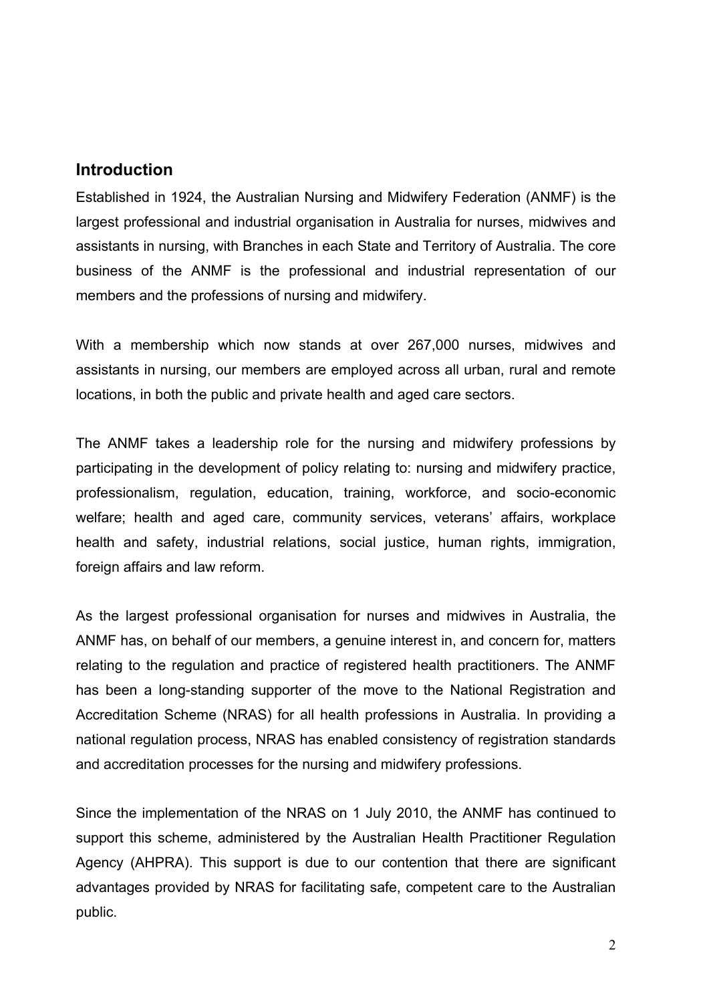#### **Introduction**

Established in 1924, the Australian Nursing and Midwifery Federation (ANMF) is the largest professional and industrial organisation in Australia for nurses, midwives and assistants in nursing, with Branches in each State and Territory of Australia. The core business of the ANMF is the professional and industrial representation of our members and the professions of nursing and midwifery.

With a membership which now stands at over 267,000 nurses, midwives and assistants in nursing, our members are employed across all urban, rural and remote locations, in both the public and private health and aged care sectors.

The ANMF takes a leadership role for the nursing and midwifery professions by participating in the development of policy relating to: nursing and midwifery practice, professionalism, regulation, education, training, workforce, and socio-economic welfare; health and aged care, community services, veterans' affairs, workplace health and safety, industrial relations, social justice, human rights, immigration, foreign affairs and law reform.

As the largest professional organisation for nurses and midwives in Australia, the ANMF has, on behalf of our members, a genuine interest in, and concern for, matters relating to the regulation and practice of registered health practitioners. The ANMF has been a long-standing supporter of the move to the National Registration and Accreditation Scheme (NRAS) for all health professions in Australia. In providing a national regulation process, NRAS has enabled consistency of registration standards and accreditation processes for the nursing and midwifery professions.

Since the implementation of the NRAS on 1 July 2010, the ANMF has continued to support this scheme, administered by the Australian Health Practitioner Regulation Agency (AHPRA). This support is due to our contention that there are significant advantages provided by NRAS for facilitating safe, competent care to the Australian public.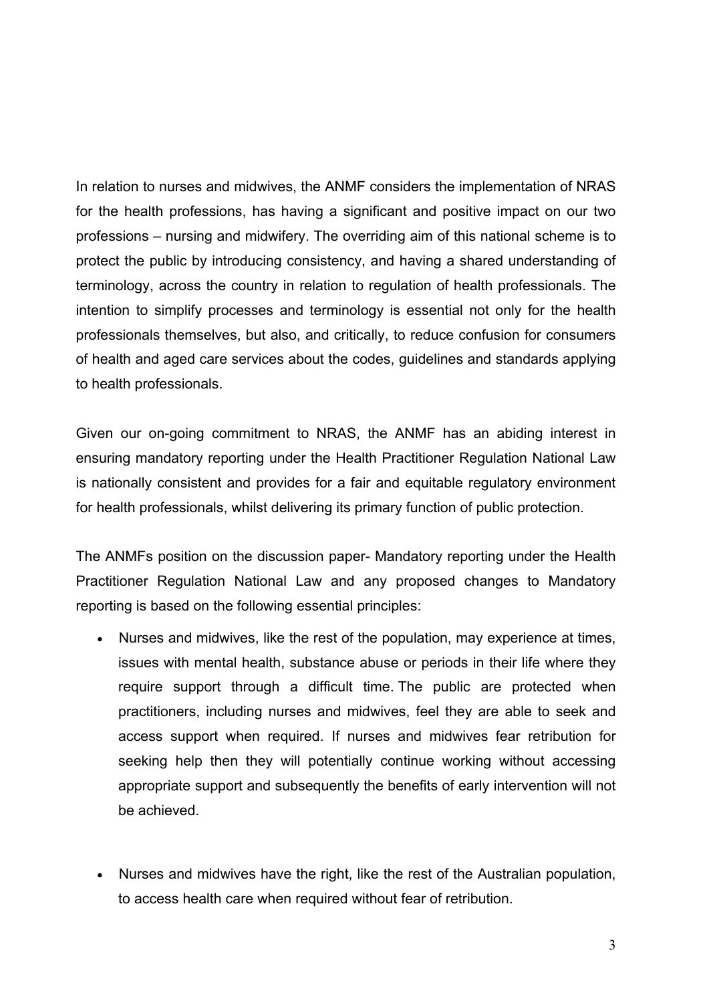In relation to nurses and midwives, the ANMF considers the implementation of NRAS for the health professions, has having a significant and positive impact on our two professions – nursing and midwifery. The overriding aim of this national scheme is to protect the public by introducing consistency, and having a shared understanding of terminology, across the country in relation to regulation of health professionals. The intention to simplify processes and terminology is essential not only for the health professionals themselves, but also, and critically, to reduce confusion for consumers of health and aged care services about the codes, guidelines and standards applying to health professionals.

Given our on-going commitment to NRAS, the ANMF has an abiding interest in ensuring mandatory reporting under the Health Practitioner Regulation National Law is nationally consistent and provides for a fair and equitable regulatory environment for health professionals, whilst delivering its primary function of public protection.

The ANMFs position on the discussion paper- Mandatory reporting under the Health Practitioner Regulation National Law and any proposed changes to Mandatory reporting is based on the following essential principles:

- Nurses and midwives, like the rest of the population, may experience at times, issues with mental health, substance abuse or periods in their life where they require support through a difficult time. The public are protected when practitioners, including nurses and midwives, feel they are able to seek and access support when required. If nurses and midwives fear retribution for seeking help then they will potentially continue working without accessing appropriate support and subsequently the benefits of early intervention will not be achieved.
- Nurses and midwives have the right, like the rest of the Australian population, to access health care when required without fear of retribution.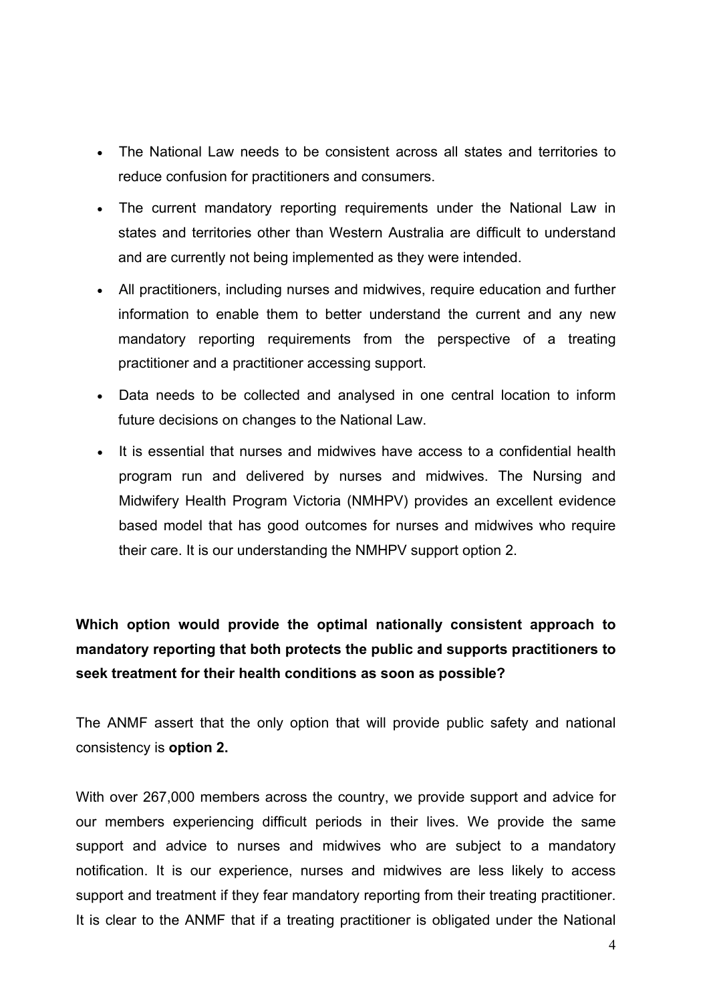- The National Law needs to be consistent across all states and territories to reduce confusion for practitioners and consumers.
- The current mandatory reporting requirements under the National Law in states and territories other than Western Australia are difficult to understand and are currently not being implemented as they were intended.
- All practitioners, including nurses and midwives, require education and further information to enable them to better understand the current and any new mandatory reporting requirements from the perspective of a treating practitioner and a practitioner accessing support.
- Data needs to be collected and analysed in one central location to inform future decisions on changes to the National Law.
- It is essential that nurses and midwives have access to a confidential health program run and delivered by nurses and midwives. The Nursing and Midwifery Health Program Victoria (NMHPV) provides an excellent evidence based model that has good outcomes for nurses and midwives who require their care. It is our understanding the NMHPV support option 2.

**Which option would provide the optimal nationally consistent approach to mandatory reporting that both protects the public and supports practitioners to seek treatment for their health conditions as soon as possible?**

The ANMF assert that the only option that will provide public safety and national consistency is **option 2.** 

With over 267,000 members across the country, we provide support and advice for our members experiencing difficult periods in their lives. We provide the same support and advice to nurses and midwives who are subject to a mandatory notification. It is our experience, nurses and midwives are less likely to access support and treatment if they fear mandatory reporting from their treating practitioner. It is clear to the ANMF that if a treating practitioner is obligated under the National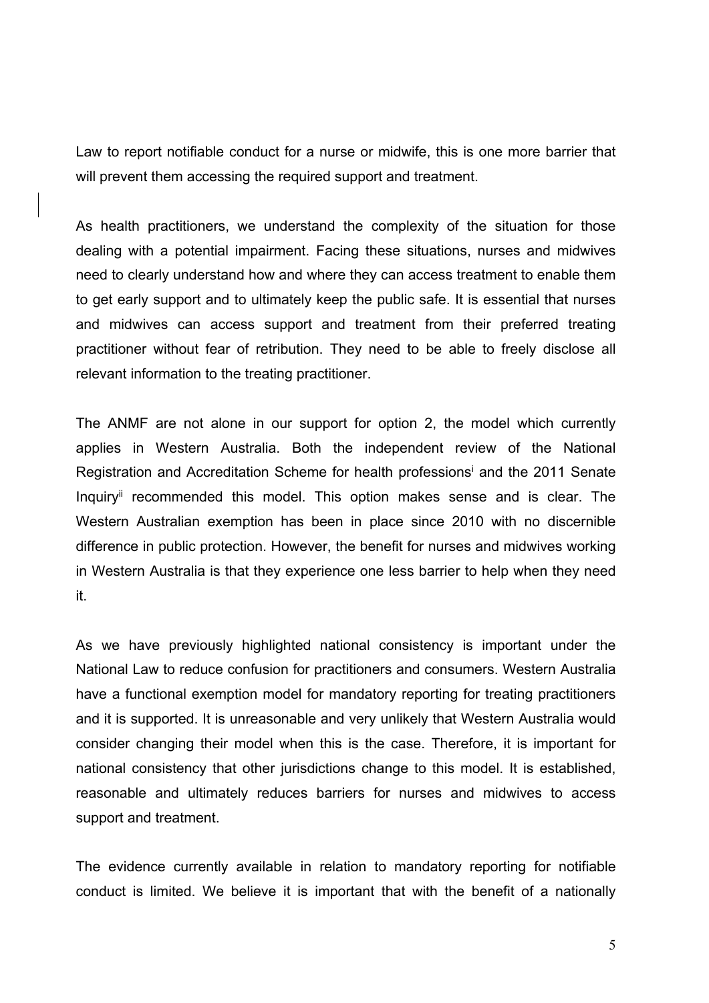Law to report notifiable conduct for a nurse or midwife, this is one more barrier that will prevent them accessing the required support and treatment.

As health practitioners, we understand the complexity of the situation for those dealing with a potential impairment. Facing these situations, nurses and midwives need to clearly understand how and where they can access treatment to enable them to get early support and to ultimately keep the public safe. It is essential that nurses and midwives can access support and treatment from their preferred treating practitioner without fear of retribution. They need to be able to freely disclose all relevant information to the treating practitioner.

The ANMF are not alone in our support for option 2, the model which currently applies in Western Australia. Both the independent review of the National Registration and Accreditation Scheme for health professions<sup>i</sup> and the 2011 Senate Inquiry<sup>ii</sup> recommended this model. This option makes sense and is clear. The Western Australian exemption has been in place since 2010 with no discernible difference in public protection. However, the benefit for nurses and midwives working in Western Australia is that they experience one less barrier to help when they need it.

As we have previously highlighted national consistency is important under the National Law to reduce confusion for practitioners and consumers. Western Australia have a functional exemption model for mandatory reporting for treating practitioners and it is supported. It is unreasonable and very unlikely that Western Australia would consider changing their model when this is the case. Therefore, it is important for national consistency that other jurisdictions change to this model. It is established, reasonable and ultimately reduces barriers for nurses and midwives to access support and treatment.

The evidence currently available in relation to mandatory reporting for notifiable conduct is limited. We believe it is important that with the benefit of a nationally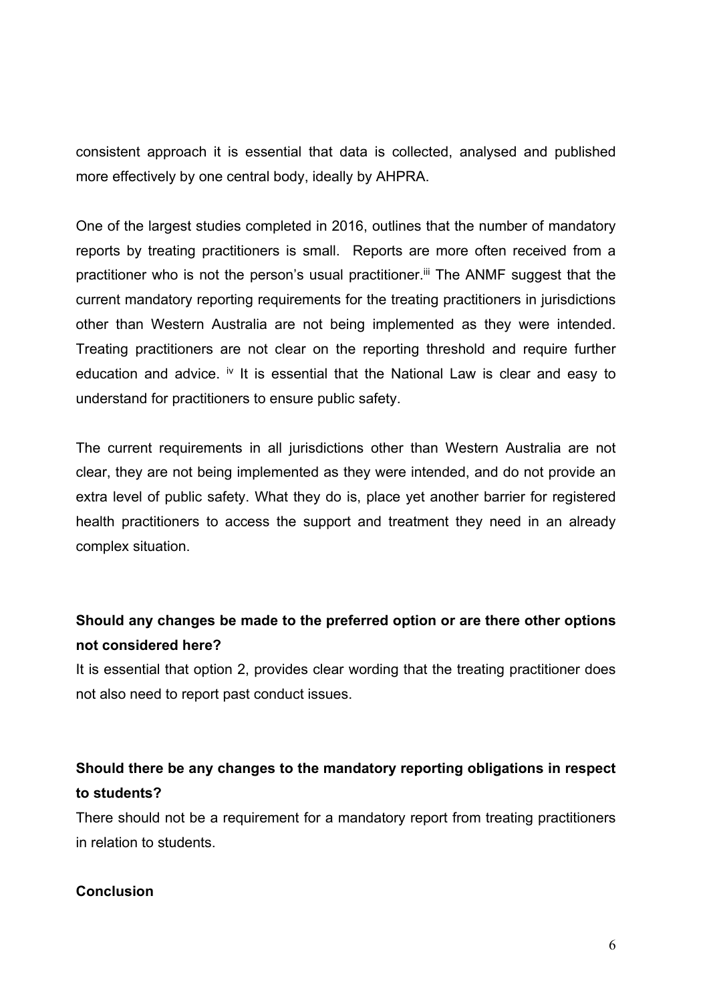consistent approach it is essential that data is collected, analysed and published more effectively by one central body, ideally by AHPRA.

One of the largest studies completed in 2016, outlines that the number of mandatory reports by treating practitioners is small. Reports are more often received from a practitioner who is not the person's usual practitioner.<sup>iii</sup> The ANMF suggest that the current mandatory reporting requirements for the treating practitioners in jurisdictions other than Western Australia are not being implemented as they were intended. Treating practitioners are not clear on the reporting threshold and require further education and advice.  $\dot{v}$  It is essential that the National Law is clear and easy to understand for practitioners to ensure public safety.

The current requirements in all jurisdictions other than Western Australia are not clear, they are not being implemented as they were intended, and do not provide an extra level of public safety. What they do is, place yet another barrier for registered health practitioners to access the support and treatment they need in an already complex situation.

## **Should any changes be made to the preferred option or are there other options not considered here?**

It is essential that option 2, provides clear wording that the treating practitioner does not also need to report past conduct issues.

## **Should there be any changes to the mandatory reporting obligations in respect to students?**

There should not be a requirement for a mandatory report from treating practitioners in relation to students.

#### **Conclusion**